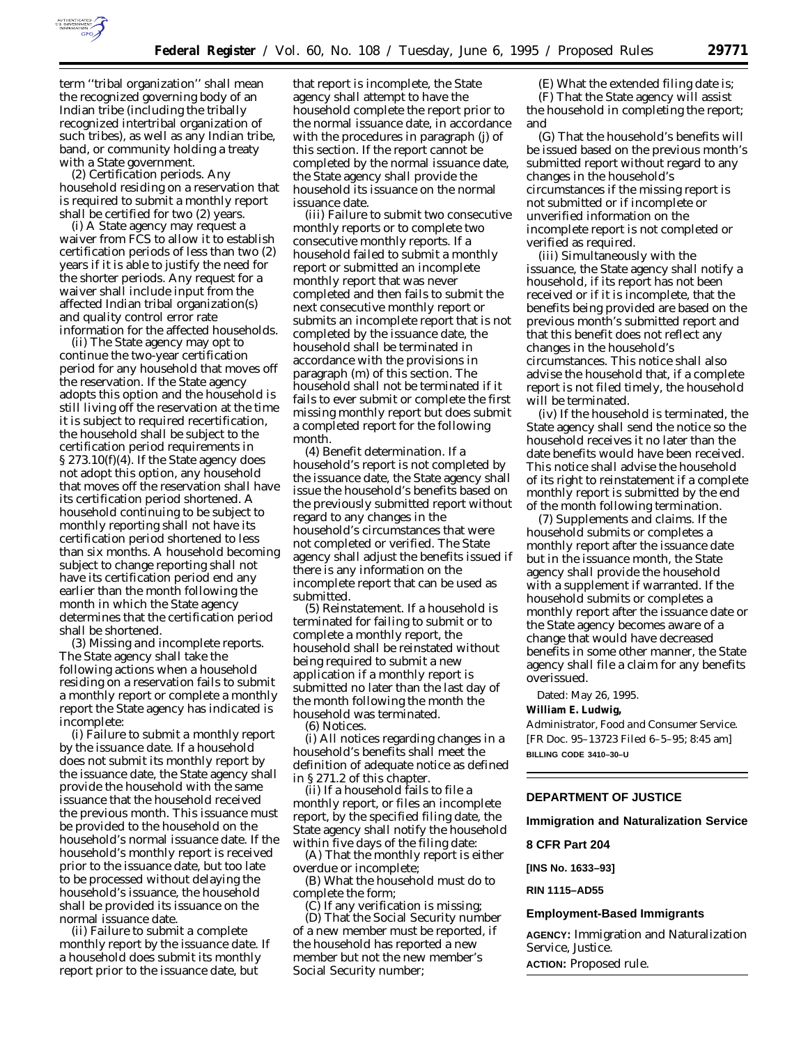

term ''tribal organization'' shall mean the recognized governing body of an Indian tribe (including the tribally recognized intertribal organization of such tribes), as well as any Indian tribe, band, or community holding a treaty with a State government.

(2) *Certification periods.* Any household residing on a reservation that is required to submit a monthly report shall be certified for two (2) years.

(i) A State agency may request a waiver from FCS to allow it to establish certification periods of less than two (2) years if it is able to justify the need for the shorter periods. Any request for a waiver shall include input from the affected Indian tribal organization(s) and quality control error rate information for the affected households.

(ii) The State agency may opt to continue the two-year certification period for any household that moves off the reservation. If the State agency adopts this option and the household is still living off the reservation at the time it is subject to required recertification, the household shall be subject to the certification period requirements in § 273.10(f)(4). If the State agency does not adopt this option, any household that moves off the reservation shall have its certification period shortened. A household continuing to be subject to monthly reporting shall not have its certification period shortened to less than six months. A household becoming subject to change reporting shall not have its certification period end any earlier than the month following the month in which the State agency determines that the certification period shall be shortened.

(3) *Missing and incomplete reports.* The State agency shall take the following actions when a household residing on a reservation fails to submit a monthly report or complete a monthly report the State agency has indicated is incomplete:

(i) *Failure to submit a monthly report by the issuance date.* If a household does not submit its monthly report by the issuance date, the State agency shall provide the household with the same issuance that the household received the previous month. This issuance must be provided to the household on the household's normal issuance date. If the household's monthly report is received prior to the issuance date, but too late to be processed without delaying the household's issuance, the household shall be provided its issuance on the normal issuance date.

(ii) *Failure to submit a complete monthly report by the issuance date.* If a household does submit its monthly report prior to the issuance date, but

that report is incomplete, the State agency shall attempt to have the household complete the report prior to the normal issuance date, in accordance with the procedures in paragraph (j) of this section. If the report cannot be completed by the normal issuance date, the State agency shall provide the household its issuance on the normal issuance date.

(iii) *Failure to submit two consecutive monthly reports or to complete two consecutive monthly reports.* If a household failed to submit a monthly report or submitted an incomplete monthly report that was never completed and then fails to submit the next consecutive monthly report or submits an incomplete report that is not completed by the issuance date, the household shall be terminated in accordance with the provisions in paragraph (m) of this section. The household shall not be terminated if it fails to ever submit or complete the first missing monthly report but does submit a completed report for the following month.

(4) *Benefit determination.* If a household's report is not completed by the issuance date, the State agency shall issue the household's benefits based on the previously submitted report without regard to any changes in the household's circumstances that were not completed or verified. The State agency shall adjust the benefits issued if there is any information on the incomplete report that can be used as submitted.

(5) *Reinstatement.* If a household is terminated for failing to submit or to complete a monthly report, the household shall be reinstated without being required to submit a new application if a monthly report is submitted no later than the last day of the month following the month the household was terminated.

(6) *Notices.*

(i) All notices regarding changes in a household's benefits shall meet the definition of adequate notice as defined in § 271.2 of this chapter.

(ii) If a household fails to file a monthly report, or files an incomplete report, by the specified filing date, the State agency shall notify the household within five days of the filing date:

(A) That the monthly report is either overdue or incomplete;

(B) What the household must do to complete the form;

(C) If any verification is missing; (D) That the Social Security number of a new member must be reported, if the household has reported a new member but not the new member's Social Security number;

(E) What the extended filing date is; (F) That the State agency will assist the household in completing the report; and

(G) That the household's benefits will be issued based on the previous month's submitted report without regard to any changes in the household's circumstances if the missing report is not submitted or if incomplete or unverified information on the incomplete report is not completed or verified as required.

(iii) Simultaneously with the issuance, the State agency shall notify a household, if its report has not been received or if it is incomplete, that the benefits being provided are based on the previous month's submitted report and that this benefit does not reflect any changes in the household's circumstances. This notice shall also advise the household that, if a complete report is not filed timely, the household will be terminated.

(iv) If the household is terminated, the State agency shall send the notice so the household receives it no later than the date benefits would have been received. This notice shall advise the household of its right to reinstatement if a complete monthly report is submitted by the end of the month following termination.

(7) *Supplements and claims.* If the household submits or completes a monthly report after the issuance date but in the issuance month, the State agency shall provide the household with a supplement if warranted. If the household submits or completes a monthly report after the issuance date or the State agency becomes aware of a change that would have decreased benefits in some other manner, the State agency shall file a claim for any benefits overissued.

Dated: May 26, 1995.

#### **William E. Ludwig,**

*Administrator, Food and Consumer Service.* [FR Doc. 95–13723 Filed 6–5–95; 8:45 am] **BILLING CODE 3410–30–U**

## **DEPARTMENT OF JUSTICE**

**Immigration and Naturalization Service**

#### **8 CFR Part 204**

**[INS No. 1633–93]**

**RIN 1115–AD55**

### **Employment-Based Immigrants**

**AGENCY:** Immigration and Naturalization Service, Justice.

**ACTION:** Proposed rule.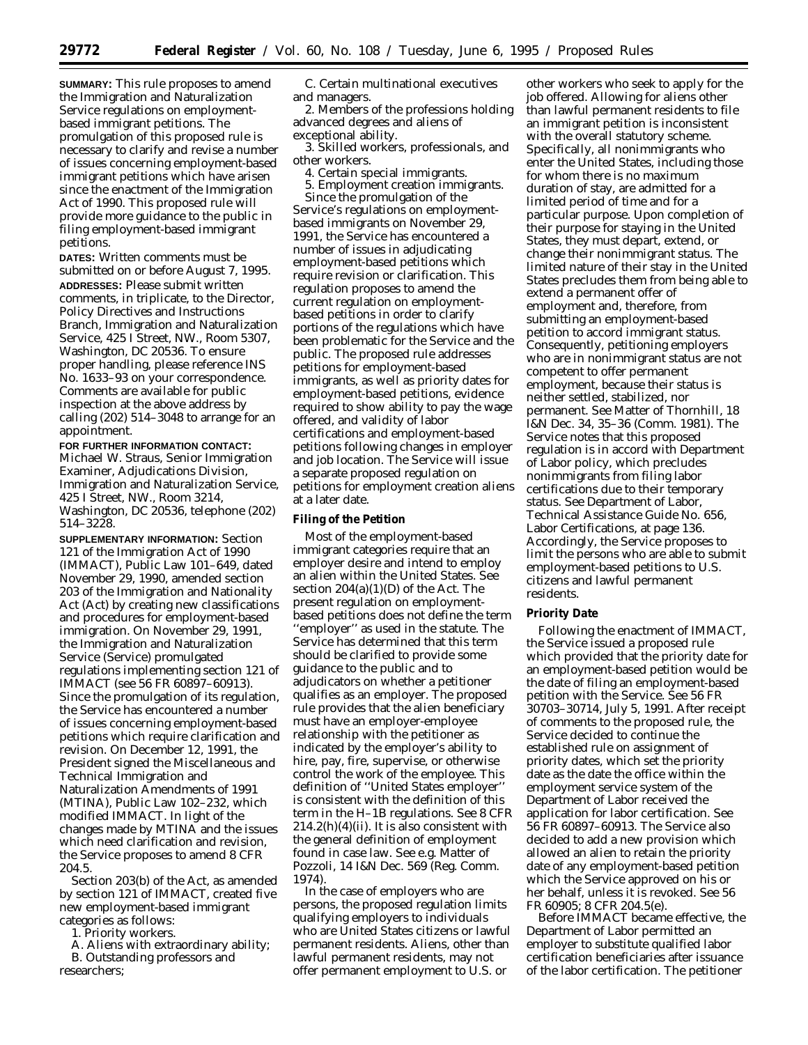**SUMMARY:** This rule proposes to amend the Immigration and Naturalization Service regulations on employmentbased immigrant petitions. The promulgation of this proposed rule is necessary to clarify and revise a number of issues concerning employment-based immigrant petitions which have arisen since the enactment of the Immigration Act of 1990. This proposed rule will provide more guidance to the public in filing employment-based immigrant petitions.

**DATES:** Written comments must be submitted on or before August 7, 1995. **ADDRESSES:** Please submit written comments, in triplicate, to the Director, Policy Directives and Instructions Branch, Immigration and Naturalization Service, 425 I Street, NW., Room 5307, Washington, DC 20536. To ensure proper handling, please reference INS No. 1633–93 on your correspondence. Comments are available for public inspection at the above address by calling (202) 514–3048 to arrange for an appointment.

**FOR FURTHER INFORMATION CONTACT:** Michael W. Straus, Senior Immigration Examiner, Adjudications Division, Immigration and Naturalization Service, 425 I Street, NW., Room 3214, Washington, DC 20536, telephone (202) 514–3228.

**SUPPLEMENTARY INFORMATION:** Section 121 of the Immigration Act of 1990 (IMMACT), Public Law 101–649, dated November 29, 1990, amended section 203 of the Immigration and Nationality Act (Act) by creating new classifications and procedures for employment-based immigration. On November 29, 1991, the Immigration and Naturalization Service (Service) promulgated regulations implementing section 121 of IMMACT (see 56 FR 60897–60913). Since the promulgation of its regulation, the Service has encountered a number of issues concerning employment-based petitions which require clarification and revision. On December 12, 1991, the President signed the Miscellaneous and Technical Immigration and Naturalization Amendments of 1991 (MTINA), Public Law 102–232, which modified IMMACT. In light of the changes made by MTINA and the issues which need clarification and revision, the Service proposes to amend 8 CFR 204.5.

Section 203(b) of the Act, as amended by section 121 of IMMACT, created five new employment-based immigrant categories as follows:

1. Priority workers.

A. Aliens with extraordinary ability; B. Outstanding professors and researchers;

C. Certain multinational executives and managers.

2. Members of the professions holding advanced degrees and aliens of exceptional ability.

3. Skilled workers, professionals, and other workers.

4. Certain special immigrants.

5. Employment creation immigrants. Since the promulgation of the

Service's regulations on employmentbased immigrants on November 29, 1991, the Service has encountered a number of issues in adjudicating employment-based petitions which require revision or clarification. This regulation proposes to amend the current regulation on employmentbased petitions in order to clarify portions of the regulations which have been problematic for the Service and the public. The proposed rule addresses petitions for employment-based immigrants, as well as priority dates for employment-based petitions, evidence required to show ability to pay the wage offered, and validity of labor certifications and employment-based petitions following changes in employer and job location. The Service will issue a separate proposed regulation on petitions for employment creation aliens at a later date.

## **Filing of the Petition**

Most of the employment-based immigrant categories require that an employer desire and intend to employ an alien within the United States. See section  $204(a)(1)(D)$  of the Act. The present regulation on employmentbased petitions does not define the term ''employer'' as used in the statute. The Service has determined that this term should be clarified to provide some guidance to the public and to adjudicators on whether a petitioner qualifies as an employer. The proposed rule provides that the alien beneficiary must have an employer-employee relationship with the petitioner as indicated by the employer's ability to hire, pay, fire, supervise, or otherwise control the work of the employee. This definition of ''United States employer'' is consistent with the definition of this term in the H–1B regulations. See 8 CFR  $214.2(h)(4)(ii)$ . It is also consistent with the general definition of employment found in case law. See e.g. *Matter of Pozzoli,* 14 I&N Dec. 569 (Reg. Comm. 1974).

In the case of employers who are persons, the proposed regulation limits qualifying employers to individuals who are United States citizens or lawful permanent residents. Aliens, other than lawful permanent residents, may not offer permanent employment to U.S. or

other workers who seek to apply for the job offered. Allowing for aliens other than lawful permanent residents to file an immigrant petition is inconsistent with the overall statutory scheme. Specifically, all nonimmigrants who enter the United States, including those for whom there is no maximum duration of stay, are admitted for a limited period of time and for a particular purpose. Upon completion of their purpose for staying in the United States, they must depart, extend, or change their nonimmigrant status. The limited nature of their stay in the United States precludes them from being able to extend a permanent offer of employment and, therefore, from submitting an employment-based petition to accord immigrant status. Consequently, petitioning employers who are in nonimmigrant status are not competent to offer permanent employment, because their status is neither settled, stabilized, nor permanent. See Matter of Thornhill, 18 I&N Dec. 34, 35–36 (Comm. 1981). The Service notes that this proposed regulation is in accord with Department of Labor policy, which precludes nonimmigrants from filing labor certifications due to their temporary status. See Department of Labor, Technical Assistance Guide No. 656, Labor Certifications, at page 136. Accordingly, the Service proposes to limit the persons who are able to submit employment-based petitions to U.S. citizens and lawful permanent residents.

#### **Priority Date**

Following the enactment of IMMACT, the Service issued a proposed rule which provided that the priority date for an employment-based petition would be the date of filing an employment-based petition with the Service. See 56 FR 30703–30714, July 5, 1991. After receipt of comments to the proposed rule, the Service decided to continue the established rule on assignment of priority dates, which set the priority date as the date the office within the employment service system of the Department of Labor received the application for labor certification. See 56 FR 60897–60913. The Service also decided to add a new provision which allowed an alien to retain the priority date of any employment-based petition which the Service approved on his or her behalf, unless it is revoked. See 56 FR 60905; 8 CFR 204.5(e).

Before IMMACT became effective, the Department of Labor permitted an employer to substitute qualified labor certification beneficiaries after issuance of the labor certification. The petitioner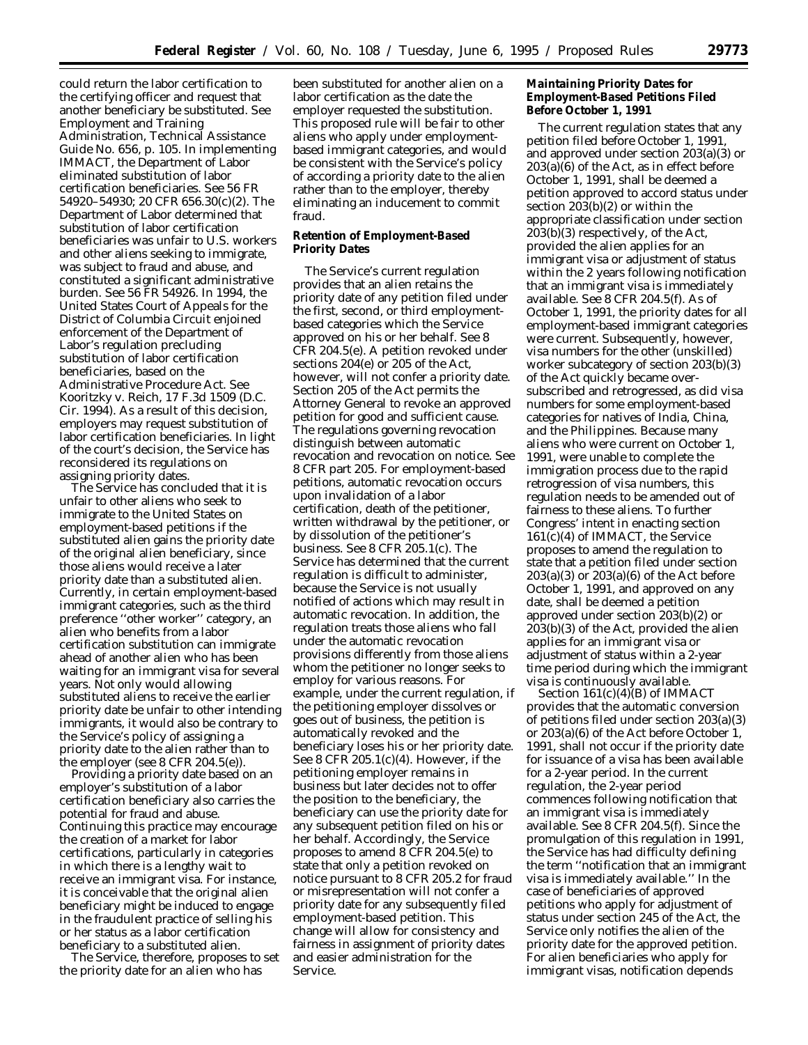could return the labor certification to the certifying officer and request that another beneficiary be substituted. See Employment and Training Administration, Technical Assistance Guide No. 656, p. 105. In implementing IMMACT, the Department of Labor eliminated substitution of labor certification beneficiaries. See 56 FR 54920–54930; 20 CFR 656.30(c)(2). The Department of Labor determined that substitution of labor certification beneficiaries was unfair to U.S. workers and other aliens seeking to immigrate, was subject to fraud and abuse, and constituted a significant administrative burden. See 56 FR 54926. In 1994, the United States Court of Appeals for the District of Columbia Circuit enjoined enforcement of the Department of Labor's regulation precluding substitution of labor certification beneficiaries, based on the Administrative Procedure Act. *See Kooritzky* v. *Reich,* 17 F.3d 1509 (D.C. Cir. 1994). As a result of this decision, employers may request substitution of labor certification beneficiaries. In light of the court's decision, the Service has reconsidered its regulations on assigning priority dates.

The Service has concluded that it is unfair to other aliens who seek to immigrate to the United States on employment-based petitions if the substituted alien gains the priority date of the original alien beneficiary, since those aliens would receive a later priority date than a substituted alien. Currently, in certain employment-based immigrant categories, such as the third preference ''other worker'' category, an alien who benefits from a labor certification substitution can immigrate ahead of another alien who has been waiting for an immigrant visa for several years. Not only would allowing substituted aliens to receive the earlier priority date be unfair to other intending immigrants, it would also be contrary to the Service's policy of assigning a priority date to the alien rather than to the employer (see 8 CFR 204.5(e)).

Providing a priority date based on an employer's substitution of a labor certification beneficiary also carries the potential for fraud and abuse. Continuing this practice may encourage the creation of a market for labor certifications, particularly in categories in which there is a lengthy wait to receive an immigrant visa. For instance, it is conceivable that the original alien beneficiary might be induced to engage in the fraudulent practice of selling his or her status as a labor certification beneficiary to a substituted alien.

The Service, therefore, proposes to set the priority date for an alien who has

been substituted for another alien on a labor certification as the date the employer requested the substitution. This proposed rule will be fair to other aliens who apply under employmentbased immigrant categories, and would be consistent with the Service's policy of according a priority date to the alien rather than to the employer, thereby eliminating an inducement to commit fraud.

## **Retention of Employment-Based Priority Dates**

The Service's current regulation provides that an alien retains the priority date of any petition filed under the first, second, or third employmentbased categories which the Service approved on his or her behalf. See 8 CFR 204.5(e). A petition revoked under sections 204(e) or 205 of the Act, however, will not confer a priority date. Section 205 of the Act permits the Attorney General to revoke an approved petition for good and sufficient cause. The regulations governing revocation distinguish between automatic revocation and revocation on notice. See 8 CFR part 205. For employment-based petitions, automatic revocation occurs upon invalidation of a labor certification, death of the petitioner, written withdrawal by the petitioner, or by dissolution of the petitioner's business. See 8 CFR 205.1(c). The Service has determined that the current regulation is difficult to administer, because the Service is not usually notified of actions which may result in automatic revocation. In addition, the regulation treats those aliens who fall under the automatic revocation provisions differently from those aliens whom the petitioner no longer seeks to employ for various reasons. For example, under the current regulation, if the petitioning employer dissolves or goes out of business, the petition is automatically revoked and the beneficiary loses his or her priority date. See 8 CFR 205.1(c)(4). However, if the petitioning employer remains in business but later decides not to offer the position to the beneficiary, the beneficiary can use the priority date for any subsequent petition filed on his or her behalf. Accordingly, the Service proposes to amend 8 CFR 204.5(e) to state that only a petition revoked on notice pursuant to 8 CFR 205.2 for fraud or misrepresentation will not confer a priority date for any subsequently filed employment-based petition. This change will allow for consistency and fairness in assignment of priority dates and easier administration for the Service.

## **Maintaining Priority Dates for Employment-Based Petitions Filed Before October 1, 1991**

The current regulation states that any petition filed before October 1, 1991, and approved under section 203(a)(3) or 203(a)(6) of the Act, as in effect before October 1, 1991, shall be deemed a petition approved to accord status under section 203(b)(2) or within the appropriate classification under section 203(b)(3) respectively, of the Act, provided the alien applies for an immigrant visa or adjustment of status within the 2 years following notification that an immigrant visa is immediately available. See 8 CFR 204.5(f). As of October 1, 1991, the priority dates for all employment-based immigrant categories were current. Subsequently, however, visa numbers for the other (unskilled) worker subcategory of section 203(b)(3) of the Act quickly became oversubscribed and retrogressed, as did visa numbers for some employment-based categories for natives of India, China, and the Philippines. Because many aliens who were current on October 1, 1991, were unable to complete the immigration process due to the rapid retrogression of visa numbers, this regulation needs to be amended out of fairness to these aliens. To further Congress' intent in enacting section 161(c)(4) of IMMACT, the Service proposes to amend the regulation to state that a petition filed under section 203(a)(3) or 203(a)(6) of the Act before October 1, 1991, and approved on any date, shall be deemed a petition approved under section 203(b)(2) or 203(b)(3) of the Act, provided the alien applies for an immigrant visa or adjustment of status within a 2-year time period during which the immigrant visa is continuously available.

Section 161(c)(4)(B) of IMMACT provides that the automatic conversion of petitions filed under section 203(a)(3) or 203(a)(6) of the Act before October 1, 1991, shall not occur if the priority date for issuance of a visa has been available for a 2-year period. In the current regulation, the 2-year period commences following notification that an immigrant visa is immediately available. See 8 CFR 204.5(f). Since the promulgation of this regulation in 1991, the Service has had difficulty defining the term ''notification that an immigrant visa is immediately available.'' In the case of beneficiaries of approved petitions who apply for adjustment of status under section 245 of the Act, the Service only notifies the alien of the priority date for the approved petition. For alien beneficiaries who apply for immigrant visas, notification depends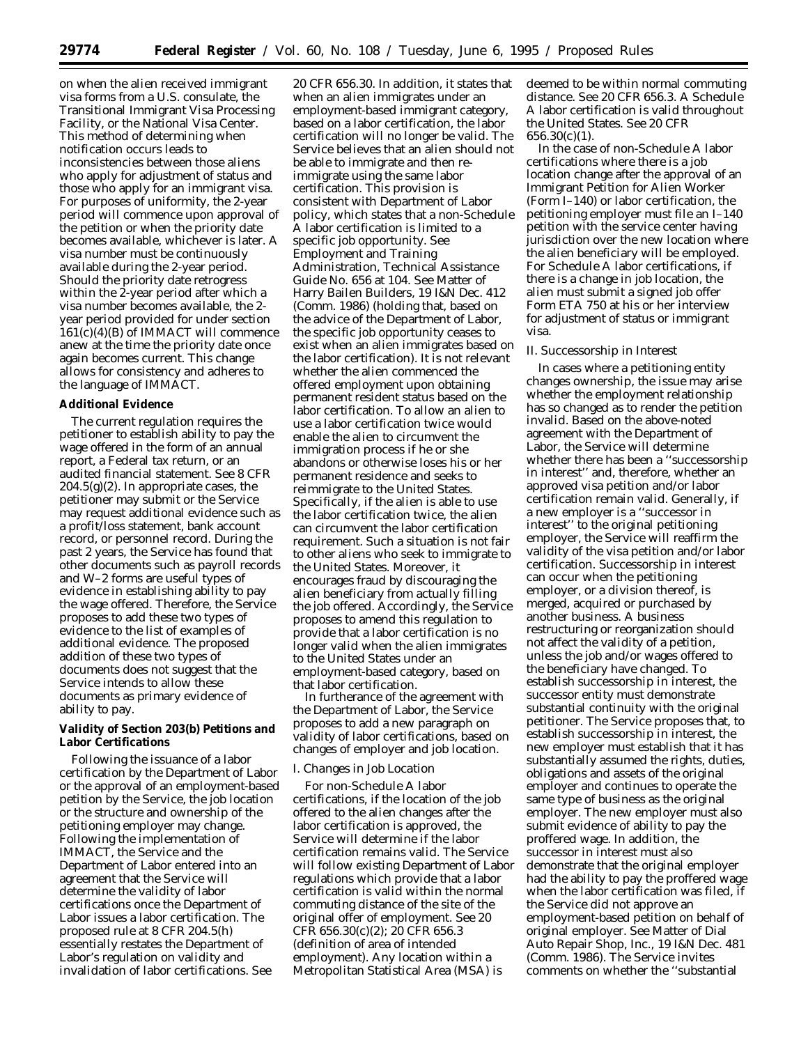on when the alien received immigrant visa forms from a U.S. consulate, the Transitional Immigrant Visa Processing Facility, or the National Visa Center. This method of determining when notification occurs leads to inconsistencies between those aliens who apply for adjustment of status and those who apply for an immigrant visa. For purposes of uniformity, the 2-year period will commence upon approval of the petition or when the priority date becomes available, whichever is later. A visa number must be continuously available during the 2-year period. Should the priority date retrogress within the 2-year period after which a visa number becomes available, the 2 year period provided for under section 161(c)(4)(B) of IMMACT will commence anew at the time the priority date once again becomes current. This change allows for consistency and adheres to the language of IMMACT.

### **Additional Evidence**

The current regulation requires the petitioner to establish ability to pay the wage offered in the form of an annual report, a Federal tax return, or an audited financial statement. See 8 CFR  $204.5(g)(2)$ . In appropriate cases, the petitioner may submit or the Service may request additional evidence such as a profit/loss statement, bank account record, or personnel record. During the past 2 years, the Service has found that other documents such as payroll records and W–2 forms are useful types of evidence in establishing ability to pay the wage offered. Therefore, the Service proposes to add these two types of evidence to the list of examples of additional evidence. The proposed addition of these two types of documents does not suggest that the Service intends to allow these documents as primary evidence of ability to pay.

# **Validity of Section 203(b) Petitions and Labor Certifications**

Following the issuance of a labor certification by the Department of Labor or the approval of an employment-based petition by the Service, the job location or the structure and ownership of the petitioning employer may change. Following the implementation of IMMACT, the Service and the Department of Labor entered into an agreement that the Service will determine the validity of labor certifications once the Department of Labor issues a labor certification. The proposed rule at 8 CFR 204.5(h) essentially restates the Department of Labor's regulation on validity and invalidation of labor certifications. See

20 CFR 656.30. In addition, it states that when an alien immigrates under an employment-based immigrant category, based on a labor certification, the labor certification will no longer be valid. The Service believes that an alien should not be able to immigrate and then reimmigrate using the same labor certification. This provision is consistent with Department of Labor policy, which states that a non-Schedule A labor certification is limited to a specific job opportunity. See Employment and Training Administration, Technical Assistance Guide No. 656 at 104. See Matter of Harry Bailen Builders, 19 I&N Dec. 412 (Comm. 1986) (holding that, based on the advice of the Department of Labor, the specific job opportunity ceases to exist when an alien immigrates based on the labor certification). It is not relevant whether the alien commenced the offered employment upon obtaining permanent resident status based on the labor certification. To allow an alien to use a labor certification twice would enable the alien to circumvent the immigration process if he or she abandons or otherwise loses his or her permanent residence and seeks to reimmigrate to the United States. Specifically, if the alien is able to use the labor certification twice, the alien can circumvent the labor certification requirement. Such a situation is not fair to other aliens who seek to immigrate to the United States. Moreover, it encourages fraud by discouraging the alien beneficiary from actually filling the job offered. Accordingly, the Service proposes to amend this regulation to provide that a labor certification is no longer valid when the alien immigrates to the United States under an employment-based category, based on that labor certification.

In furtherance of the agreement with the Department of Labor, the Service proposes to add a new paragraph on validity of labor certifications, based on changes of employer and job location.

## *I. Changes in Job Location*

For non-Schedule A labor certifications, if the location of the job offered to the alien changes after the labor certification is approved, the Service will determine if the labor certification remains valid. The Service will follow existing Department of Labor regulations which provide that a labor certification is valid within the normal commuting distance of the site of the original offer of employment. See 20 CFR 656.30(c)(2); 20 CFR 656.3 (definition of area of intended employment). Any location within a Metropolitan Statistical Area (MSA) is

deemed to be within normal commuting distance. See 20 CFR 656.3. A Schedule A labor certification is valid throughout the United States. See 20 CFR 656.30(c)(1).

In the case of non-Schedule A labor certifications where there is a job location change after the approval of an Immigrant Petition for Alien Worker (Form I–140) or labor certification, the petitioning employer must file an I–140 petition with the service center having jurisdiction over the new location where the alien beneficiary will be employed. For Schedule A labor certifications, if there is a change in job location, the alien must submit a signed job offer Form ETA 750 at his or her interview for adjustment of status or immigrant visa.

#### *II. Successorship in Interest*

In cases where a petitioning entity changes ownership, the issue may arise whether the employment relationship has so changed as to render the petition invalid. Based on the above-noted agreement with the Department of Labor, the Service will determine whether there has been a ''successorship in interest'' and, therefore, whether an approved visa petition and/or labor certification remain valid. Generally, if a new employer is a ''successor in interest'' to the original petitioning employer, the Service will reaffirm the validity of the visa petition and/or labor certification. Successorship in interest can occur when the petitioning employer, or a division thereof, is merged, acquired or purchased by another business. A business restructuring or reorganization should not affect the validity of a petition, unless the job and/or wages offered to the beneficiary have changed. To establish successorship in interest, the successor entity must demonstrate substantial continuity with the original petitioner. The Service proposes that, to establish successorship in interest, the new employer must establish that it has substantially assumed the rights, duties, obligations and assets of the original employer and continues to operate the same type of business as the original employer. The new employer must also submit evidence of ability to pay the proffered wage. In addition, the successor in interest must also demonstrate that the original employer had the ability to pay the proffered wage when the labor certification was filed, if the Service did not approve an employment-based petition on behalf of original employer. See Matter of Dial Auto Repair Shop, Inc., 19 I&N Dec. 481 (Comm. 1986). The Service invites comments on whether the ''substantial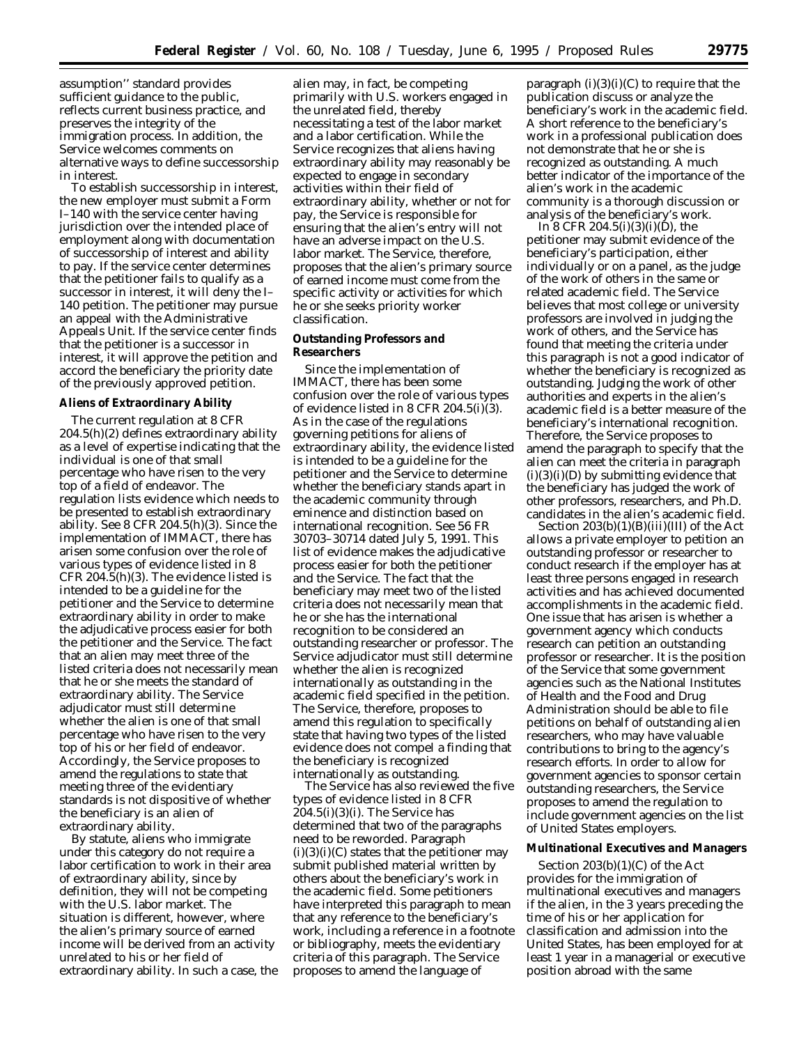assumption'' standard provides sufficient guidance to the public, reflects current business practice, and preserves the integrity of the immigration process. In addition, the Service welcomes comments on alternative ways to define successorship in interest.

To establish successorship in interest, the new employer must submit a Form I–140 with the service center having jurisdiction over the intended place of employment along with documentation of successorship of interest and ability to pay. If the service center determines that the petitioner fails to qualify as a successor in interest, it will deny the I– 140 petition. The petitioner may pursue an appeal with the Administrative Appeals Unit. If the service center finds that the petitioner is a successor in interest, it will approve the petition and accord the beneficiary the priority date of the previously approved petition.

### **Aliens of Extraordinary Ability**

The current regulation at 8 CFR 204.5(h)(2) defines extraordinary ability as a level of expertise indicating that the individual is one of that small percentage who have risen to the very top of a field of endeavor. The regulation lists evidence which needs to be presented to establish extraordinary ability. See 8 CFR 204.5(h)(3). Since the implementation of IMMACT, there has arisen some confusion over the role of various types of evidence listed in 8 CFR 204.5(h)(3). The evidence listed is intended to be a guideline for the petitioner and the Service to determine extraordinary ability in order to make the adjudicative process easier for both the petitioner and the Service. The fact that an alien may meet three of the listed criteria does not necessarily mean that he or she meets the standard of extraordinary ability. The Service adjudicator must still determine whether the alien is one of that small percentage who have risen to the very top of his or her field of endeavor. Accordingly, the Service proposes to amend the regulations to state that meeting three of the evidentiary standards is not dispositive of whether the beneficiary is an alien of extraordinary ability.

By statute, aliens who immigrate under this category do not require a labor certification to work in their area of extraordinary ability, since by definition, they will not be competing with the U.S. labor market. The situation is different, however, where the alien's primary source of earned income will be derived from an activity unrelated to his or her field of extraordinary ability. In such a case, the

alien may, in fact, be competing primarily with U.S. workers engaged in the unrelated field, thereby necessitating a test of the labor market and a labor certification. While the Service recognizes that aliens having extraordinary ability may reasonably be expected to engage in secondary activities within their field of extraordinary ability, whether or not for pay, the Service is responsible for ensuring that the alien's entry will not have an adverse impact on the U.S. labor market. The Service, therefore, proposes that the alien's primary source of earned income must come from the specific activity or activities for which he or she seeks priority worker classification.

## **Outstanding Professors and Researchers**

Since the implementation of IMMACT, there has been some confusion over the role of various types of evidence listed in 8 CFR 204.5(i)(3). As in the case of the regulations governing petitions for aliens of extraordinary ability, the evidence listed is intended to be a guideline for the petitioner and the Service to determine whether the beneficiary stands apart in the academic community through eminence and distinction based on international recognition. See 56 FR 30703–30714 dated July 5, 1991. This list of evidence makes the adjudicative process easier for both the petitioner and the Service. The fact that the beneficiary may meet two of the listed criteria does not necessarily mean that he or she has the international recognition to be considered an outstanding researcher or professor. The Service adjudicator must still determine whether the alien is recognized internationally as outstanding in the academic field specified in the petition. The Service, therefore, proposes to amend this regulation to specifically state that having two types of the listed evidence does not compel a finding that the beneficiary is recognized internationally as outstanding.

The Service has also reviewed the five types of evidence listed in 8 CFR 204.5(i)(3)(i). The Service has determined that two of the paragraphs need to be reworded. Paragraph  $(i)(3)(i)(C)$  states that the petitioner may submit published material written by others about the beneficiary's work in the academic field. Some petitioners have interpreted this paragraph to mean that any reference to the beneficiary's work, including a reference in a footnote or bibliography, meets the evidentiary criteria of this paragraph. The Service proposes to amend the language of

paragraph  $(i)(3)(i)(C)$  to require that the publication discuss or analyze the beneficiary's work in the academic field. A short reference to the beneficiary's work in a professional publication does not demonstrate that he or she is recognized as outstanding. A much better indicator of the importance of the alien's work in the academic community is a thorough discussion or analysis of the beneficiary's work.

In 8 CFR 204.5(i)(3)(i)(D), the petitioner may submit evidence of the beneficiary's participation, either individually or on a panel, as the judge of the work of others in the same or related academic field. The Service believes that most college or university professors are involved in judging the work of others, and the Service has found that meeting the criteria under this paragraph is not a good indicator of whether the beneficiary is recognized as outstanding. Judging the work of other authorities and experts in the alien's academic field is a better measure of the beneficiary's international recognition. Therefore, the Service proposes to amend the paragraph to specify that the alien can meet the criteria in paragraph  $(i)(3)(i)(D)$  by submitting evidence that the beneficiary has judged the work of other professors, researchers, and Ph.D. candidates in the alien's academic field.

Section  $203(b)(1)(B)(iii)(III)$  of the Act allows a private employer to petition an outstanding professor or researcher to conduct research if the employer has at least three persons engaged in research activities and has achieved documented accomplishments in the academic field. One issue that has arisen is whether a government agency which conducts research can petition an outstanding professor or researcher. It is the position of the Service that some government agencies such as the National Institutes of Health and the Food and Drug Administration should be able to file petitions on behalf of outstanding alien researchers, who may have valuable contributions to bring to the agency's research efforts. In order to allow for government agencies to sponsor certain outstanding researchers, the Service proposes to amend the regulation to include government agencies on the list of United States employers.

## **Multinational Executives and Managers**

Section 203(b)(1)(C) of the Act provides for the immigration of multinational executives and managers if the alien, in the 3 years preceding the time of his or her application for classification and admission into the United States, has been employed for at least 1 year in a managerial or executive position abroad with the same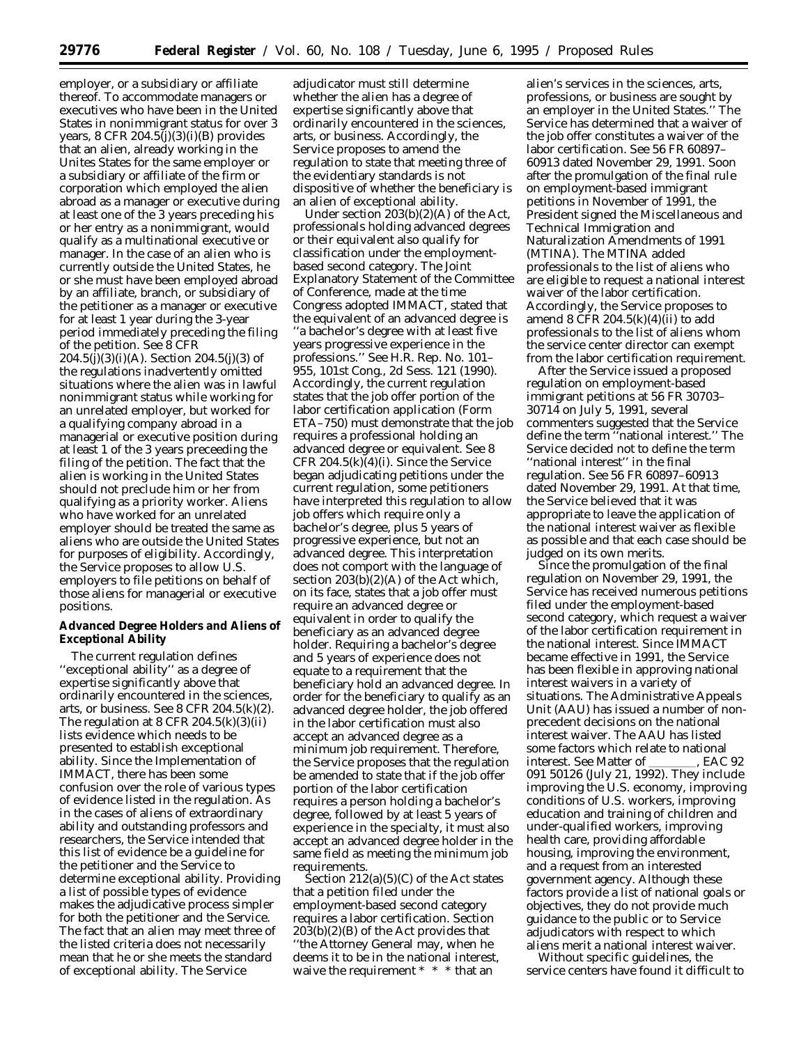employer, or a subsidiary or affiliate thereof. To accommodate managers or executives who have been in the United States in nonimmigrant status for over 3 years,  $8$  CFR 204.5(j)(3)(i)(B) provides that an alien, already working in the Unites States for the same employer or a subsidiary or affiliate of the firm or corporation which employed the alien abroad as a manager or executive during at least one of the 3 years preceding his or her entry as a nonimmigrant, would qualify as a multinational executive or manager. In the case of an alien who is currently outside the United States, he or she must have been employed abroad by an affiliate, branch, or subsidiary of the petitioner as a manager or executive for at least 1 year during the 3-year period immediately preceding the filing of the petition. See 8 CFR  $204.5(j)(3)(i)(A)$ . Section  $204.5(j)(3)$  of the regulations inadvertently omitted situations where the alien was in lawful nonimmigrant status while working for an unrelated employer, but worked for a qualifying company abroad in a managerial or executive position during at least 1 of the 3 years preceeding the filing of the petition. The fact that the alien is working in the United States should not preclude him or her from qualifying as a priority worker. Aliens who have worked for an unrelated employer should be treated the same as aliens who are outside the United States for purposes of eligibility. Accordingly, the Service proposes to allow U.S. employers to file petitions on behalf of those aliens for managerial or executive positions.

## **Advanced Degree Holders and Aliens of Exceptional Ability**

The current regulation defines ''exceptional ability'' as a degree of expertise significantly above that ordinarily encountered in the sciences, arts, or business. See 8 CFR 204.5(k)(2). The regulation at 8 CFR  $204.5(k)(3)(ii)$ lists evidence which needs to be presented to establish exceptional ability. Since the Implementation of IMMACT, there has been some confusion over the role of various types of evidence listed in the regulation. As in the cases of aliens of extraordinary ability and outstanding professors and researchers, the Service intended that this list of evidence be a guideline for the petitioner and the Service to determine exceptional ability. Providing a list of possible types of evidence makes the adjudicative process simpler for both the petitioner and the Service. The fact that an alien may meet three of the listed criteria does not necessarily mean that he or she meets the standard of exceptional ability. The Service

adjudicator must still determine whether the alien has a degree of expertise significantly above that ordinarily encountered in the sciences, arts, or business. Accordingly, the Service proposes to amend the regulation to state that meeting three of the evidentiary standards is not dispositive of whether the beneficiary is an alien of exceptional ability.

Under section 203(b)(2)(A) of the Act, professionals holding advanced degrees or their equivalent also qualify for classification under the employmentbased second category. The Joint Explanatory Statement of the Committee of Conference, made at the time Congress adopted IMMACT, stated that the equivalent of an advanced degree is ''a bachelor's degree with at least five years progressive experience in the professions.'' See H.R. Rep. No. 101– 955, 101st Cong., 2d Sess. 121 (1990). Accordingly, the current regulation states that the job offer portion of the labor certification application (Form ETA–750) must demonstrate that the job requires a professional holding an advanced degree or equivalent. See 8 CFR  $204.5(k)(4)(i)$ . Since the Service began adjudicating petitions under the current regulation, some petitioners have interpreted this regulation to allow job offers which require only a bachelor's degree, plus 5 years of progressive experience, but not an advanced degree. This interpretation does not comport with the language of section 203(b)(2)(A) of the Act which, on its face, states that a job offer must require an advanced degree or equivalent in order to qualify the beneficiary as an advanced degree holder. Requiring a bachelor's degree and 5 years of experience does not equate to a requirement that the beneficiary hold an advanced degree. In order for the beneficiary to qualify as an advanced degree holder, the job offered in the labor certification must also accept an advanced degree as a minimum job requirement. Therefore, the Service proposes that the regulation be amended to state that if the job offer portion of the labor certification requires a person holding a bachelor's degree, followed by at least 5 years of experience in the specialty, it must also accept an advanced degree holder in the same field as meeting the minimum job requirements.

Section  $212(a)(5)(C)$  of the Act states that a petition filed under the employment-based second category requires a labor certification. Section 203(b)(2)(B) of the Act provides that ''the Attorney General may, when he deems it to be in the national interest, waive the requirement \* \* \* that an

alien's services in the sciences, arts, professions, or business are sought by an employer in the United States.'' The Service has determined that a waiver of the job offer constitutes a waiver of the labor certification. See 56 FR 60897– 60913 dated November 29, 1991. Soon after the promulgation of the final rule on employment-based immigrant petitions in November of 1991, the President signed the Miscellaneous and Technical Immigration and Naturalization Amendments of 1991 (MTINA). The MTINA added professionals to the list of aliens who are eligible to request a national interest waiver of the labor certification. Accordingly, the Service proposes to amend 8 CFR 204.5(k)(4)(ii) to add professionals to the list of aliens whom the service center director can exempt from the labor certification requirement.

After the Service issued a proposed regulation on employment-based immigrant petitions at 56 FR 30703– 30714 on July 5, 1991, several commenters suggested that the Service define the term ''national interest.'' The Service decided not to define the term ''national interest'' in the final regulation. See 56 FR 60897–60913 dated November 29, 1991. At that time, the Service believed that it was appropriate to leave the application of the national interest waiver as flexible as possible and that each case should be judged on its own merits.

Since the promulgation of the final regulation on November 29, 1991, the Service has received numerous petitions filed under the employment-based second category, which request a waiver of the labor certification requirement in the national interest. Since IMMACT became effective in 1991, the Service has been flexible in approving national interest waivers in a variety of situations. The Administrative Appeals Unit (AAU) has issued a number of nonprecedent decisions on the national interest waiver. The AAU has listed some factors which relate to national<br>interest. See Matter of \_\_\_\_\_\_\_\_\_, EAC 92 interest. See Matter of 091 50126 (July 21, 1992). They include improving the U.S. economy, improving conditions of U.S. workers, improving education and training of children and under-qualified workers, improving health care, providing affordable housing, improving the environment, and a request from an interested government agency. Although these factors provide a list of national goals or objectives, they do not provide much guidance to the public or to Service adjudicators with respect to which aliens merit a national interest waiver.

Without specific guidelines, the service centers have found it difficult to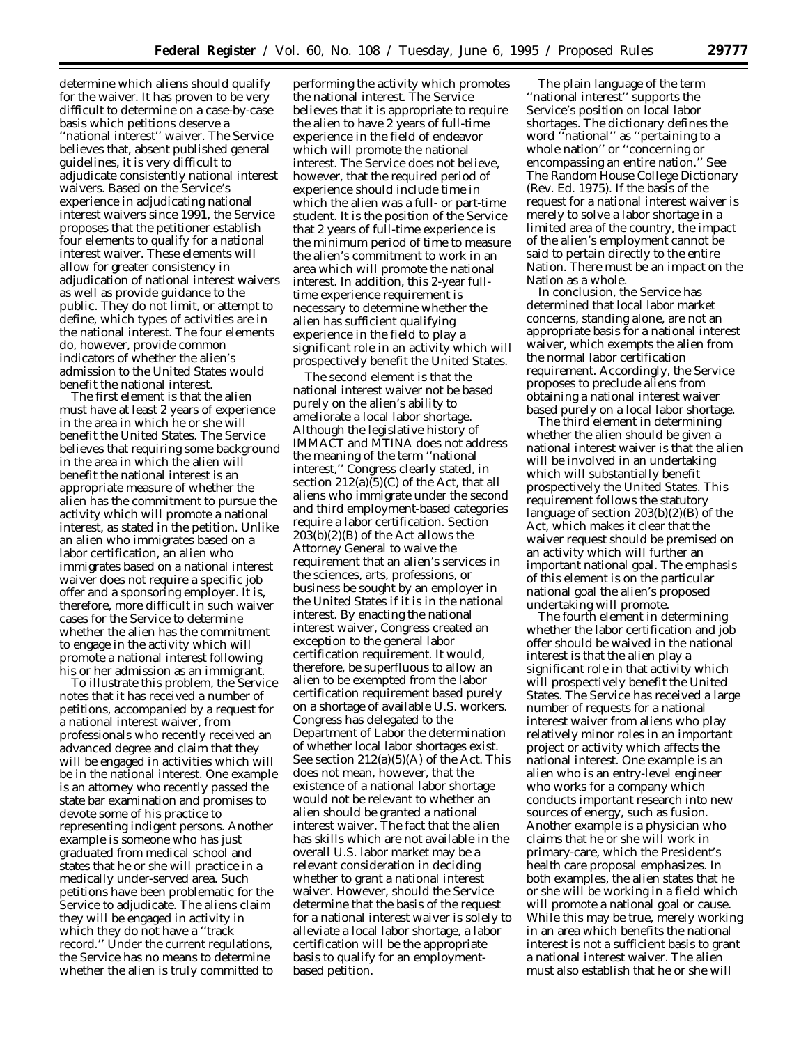determine which aliens should qualify for the waiver. It has proven to be very difficult to determine on a case-by-case basis which petitions deserve a ''national interest'' waiver. The Service believes that, absent published general guidelines, it is very difficult to adjudicate consistently national interest waivers. Based on the Service's experience in adjudicating national interest waivers since 1991, the Service proposes that the petitioner establish four elements to qualify for a national interest waiver. These elements will allow for greater consistency in adjudication of national interest waivers as well as provide guidance to the public. They do not limit, or attempt to define, which types of activities are in the national interest. The four elements do, however, provide common indicators of whether the alien's admission to the United States would benefit the national interest.

The first element is that the alien must have at least 2 years of experience in the area in which he or she will benefit the United States. The Service believes that requiring some background in the area in which the alien will benefit the national interest is an appropriate measure of whether the alien has the commitment to pursue the activity which will promote a national interest, as stated in the petition. Unlike an alien who immigrates based on a labor certification, an alien who immigrates based on a national interest waiver does not require a specific job offer and a sponsoring employer. It is, therefore, more difficult in such waiver cases for the Service to determine whether the alien has the commitment to engage in the activity which will promote a national interest following his or her admission as an immigrant.

To illustrate this problem, the Service notes that it has received a number of petitions, accompanied by a request for a national interest waiver, from professionals who recently received an advanced degree and claim that they will be engaged in activities which will be in the national interest. One example is an attorney who recently passed the state bar examination and promises to devote some of his practice to representing indigent persons. Another example is someone who has just graduated from medical school and states that he or she will practice in a medically under-served area. Such petitions have been problematic for the Service to adjudicate. The aliens claim they will be engaged in activity in which they do not have a ''track record.'' Under the current regulations, the Service has no means to determine whether the alien is truly committed to

performing the activity which promotes the national interest. The Service believes that it is appropriate to require the alien to have 2 years of full-time experience in the field of endeavor which will promote the national interest. The Service does not believe, however, that the required period of experience should include time in which the alien was a full- or part-time student. It is the position of the Service that 2 years of full-time experience is the minimum period of time to measure the alien's commitment to work in an area which will promote the national interest. In addition, this 2-year fulltime experience requirement is necessary to determine whether the alien has sufficient qualifying experience in the field to play a significant role in an activity which will prospectively benefit the United States.

The second element is that the national interest waiver not be based purely on the alien's ability to ameliorate a local labor shortage. Although the legislative history of IMMACT and MTINA does not address the meaning of the term ''national interest,'' Congress clearly stated, in section 212(a)(5)(C) of the Act, that all aliens who immigrate under the second and third employment-based categories require a labor certification. Section 203(b)(2)(B) of the Act allows the Attorney General to waive the requirement that an alien's services in the sciences, arts, professions, or business be sought by an employer in the United States if it is in the national interest. By enacting the national interest waiver, Congress created an exception to the general labor certification requirement. It would, therefore, be superfluous to allow an alien to be exempted from the labor certification requirement based purely on a shortage of available U.S. workers. Congress has delegated to the Department of Labor the determination of whether local labor shortages exist. See section 212(a)(5)(A) of the Act. This does not mean, however, that the existence of a national labor shortage would not be relevant to whether an alien should be granted a national interest waiver. The fact that the alien has skills which are not available in the overall U.S. labor market may be a relevant consideration in deciding whether to grant a national interest waiver. However, should the Service determine that the basis of the request for a national interest waiver is solely to alleviate a local labor shortage, a labor certification will be the appropriate basis to qualify for an employmentbased petition.

The plain language of the term ''national interest'' supports the Service's position on local labor shortages. The dictionary defines the word ''national'' as ''pertaining to a whole nation'' or ''concerning or encompassing an entire nation.'' See The Random House College Dictionary (Rev. Ed. 1975). If the basis of the request for a national interest waiver is merely to solve a labor shortage in a limited area of the country, the impact of the alien's employment cannot be said to pertain directly to the entire Nation. There must be an impact on the Nation as a whole.

In conclusion, the Service has determined that local labor market concerns, standing alone, are not an appropriate basis for a national interest waiver, which exempts the alien from the normal labor certification requirement. Accordingly, the Service proposes to preclude aliens from obtaining a national interest waiver based purely on a local labor shortage.

The third element in determining whether the alien should be given a national interest waiver is that the alien will be involved in an undertaking which will substantially benefit prospectively the United States. This requirement follows the statutory language of section  $203(b)(2)(B)$  of the Act, which makes it clear that the waiver request should be premised on an activity which will further an important national goal. The emphasis of this element is on the particular national goal the alien's proposed undertaking will promote.

The fourth element in determining whether the labor certification and job offer should be waived in the national interest is that the alien play a significant role in that activity which will prospectively benefit the United States. The Service has received a large number of requests for a national interest waiver from aliens who play relatively minor roles in an important project or activity which affects the national interest. One example is an alien who is an entry-level engineer who works for a company which conducts important research into new sources of energy, such as fusion. Another example is a physician who claims that he or she will work in primary-care, which the President's health care proposal emphasizes. In both examples, the alien states that he or she will be working in a field which will promote a national goal or cause. While this may be true, merely working in an area which benefits the national interest is not a sufficient basis to grant a national interest waiver. The alien must also establish that he or she will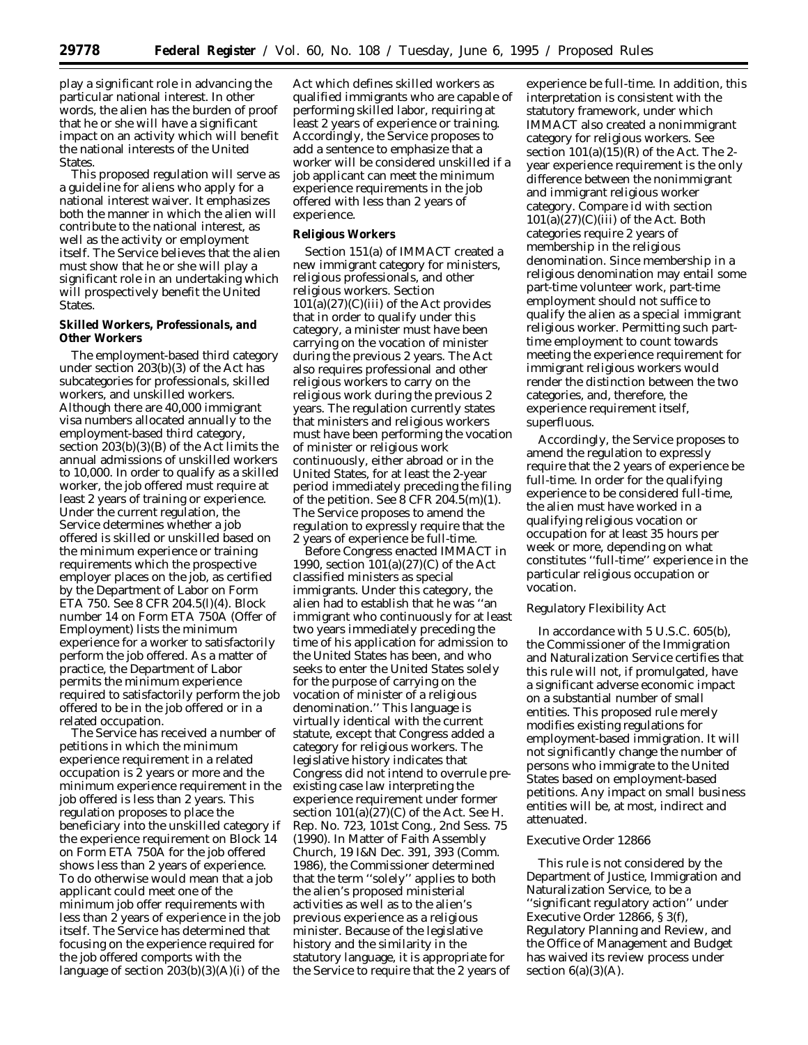play a significant role in advancing the particular national interest. In other words, the alien has the burden of proof that he or she will have a significant impact on an activity which will benefit the national interests of the United States.

This proposed regulation will serve as a guideline for aliens who apply for a national interest waiver. It emphasizes both the manner in which the alien will contribute to the national interest, as well as the activity or employment itself. The Service believes that the alien must show that he or she will play a significant role in an undertaking which will prospectively benefit the United States.

## **Skilled Workers, Professionals, and Other Workers**

The employment-based third category under section 203(b)(3) of the Act has subcategories for professionals, skilled workers, and unskilled workers. Although there are 40,000 immigrant visa numbers allocated annually to the employment-based third category, section 203(b)(3)(B) of the Act limits the annual admissions of unskilled workers to 10,000. In order to qualify as a skilled worker, the job offered must require at least 2 years of training or experience. Under the current regulation, the Service determines whether a job offered is skilled or unskilled based on the minimum experience or training requirements which the prospective employer places on the job, as certified by the Department of Labor on Form ETA 750. See 8 CFR 204.5(l)(4). Block number 14 on Form ETA 750A (Offer of Employment) lists the minimum experience for a worker to satisfactorily perform the job offered. As a matter of practice, the Department of Labor permits the minimum experience required to satisfactorily perform the job offered to be in the job offered or in a related occupation.

The Service has received a number of petitions in which the minimum experience requirement in a related occupation is 2 years or more and the minimum experience requirement in the job offered is less than 2 years. This regulation proposes to place the beneficiary into the unskilled category if the experience requirement on Block 14 on Form ETA 750A for the job offered shows less than 2 years of experience. To do otherwise would mean that a job applicant could meet one of the minimum job offer requirements with less than 2 years of experience in the job itself. The Service has determined that focusing on the experience required for the job offered comports with the language of section 203(b)(3)(A)(i) of the

Act which defines skilled workers as qualified immigrants who are capable of performing skilled labor, requiring at least 2 years of experience or training. Accordingly, the Service proposes to add a sentence to emphasize that a worker will be considered unskilled if a job applicant can meet the minimum experience requirements in the job offered with less than 2 years of experience.

## **Religious Workers**

Section 151(a) of IMMACT created a new immigrant category for ministers, religious professionals, and other religious workers. Section  $101(a)(27)(C)(iii)$  of the Act provides that in order to qualify under this category, a minister must have been carrying on the vocation of minister during the previous 2 years. The Act also requires professional and other religious workers to carry on the religious work during the previous 2 years. The regulation currently states that ministers and religious workers must have been performing the vocation of minister or religious work continuously, either abroad or in the United States, for at least the 2-year period immediately preceding the filing of the petition. See 8 CFR 204.5(m)(1). The Service proposes to amend the regulation to expressly require that the 2 years of experience be full-time.

Before Congress enacted IMMACT in 1990, section 101(a)(27)(C) of the Act classified ministers as special immigrants. Under this category, the alien had to establish that he was ''an immigrant who continuously for at least two years immediately preceding the time of his application for admission to the United States has been, and who seeks to enter the United States solely for the purpose of carrying on the vocation of minister of a religious denomination.'' This language is virtually identical with the current statute, except that Congress added a category for religious workers. The legislative history indicates that Congress did not intend to overrule preexisting case law interpreting the experience requirement under former section 101(a)(27)(C) of the Act. See H. Rep. No. 723, 101st Cong., 2nd Sess. 75 (1990). In Matter of Faith Assembly Church, 19 I&N Dec. 391, 393 (Comm. 1986), the Commissioner determined that the term ''solely'' applies to both the alien's proposed ministerial activities as well as to the alien's previous experience as a religious minister. Because of the legislative history and the similarity in the statutory language, it is appropriate for the Service to require that the 2 years of

experience be full-time. In addition, this interpretation is consistent with the statutory framework, under which IMMACT also created a nonimmigrant category for religious workers. See section  $101(a)(15)(R)$  of the Act. The 2year experience requirement is the only difference between the nonimmigrant and immigrant religious worker category. Compare id with section  $101(a)(27)(C)(iii)$  of the Act. Both categories require 2 years of membership in the religious denomination. Since membership in a religious denomination may entail some part-time volunteer work, part-time employment should not suffice to qualify the alien as a special immigrant religious worker. Permitting such parttime employment to count towards meeting the experience requirement for immigrant religious workers would render the distinction between the two categories, and, therefore, the experience requirement itself, superfluous.

Accordingly, the Service proposes to amend the regulation to expressly require that the 2 years of experience be full-time. In order for the qualifying experience to be considered full-time, the alien must have worked in a qualifying religious vocation or occupation for at least 35 hours per week or more, depending on what constitutes ''full-time'' experience in the particular religious occupation or vocation.

## *Regulatory Flexibility Act*

In accordance with 5 U.S.C. 605(b), the Commissioner of the Immigration and Naturalization Service certifies that this rule will not, if promulgated, have a significant adverse economic impact on a substantial number of small entities. This proposed rule merely modifies existing regulations for employment-based immigration. It will not significantly change the number of persons who immigrate to the United States based on employment-based petitions. Any impact on small business entities will be, at most, indirect and attenuated.

#### *Executive Order 12866*

This rule is not considered by the Department of Justice, Immigration and Naturalization Service, to be a ''significant regulatory action'' under Executive Order 12866, § 3(f), Regulatory Planning and Review, and the Office of Management and Budget has waived its review process under section  $6(a)(3)(A)$ .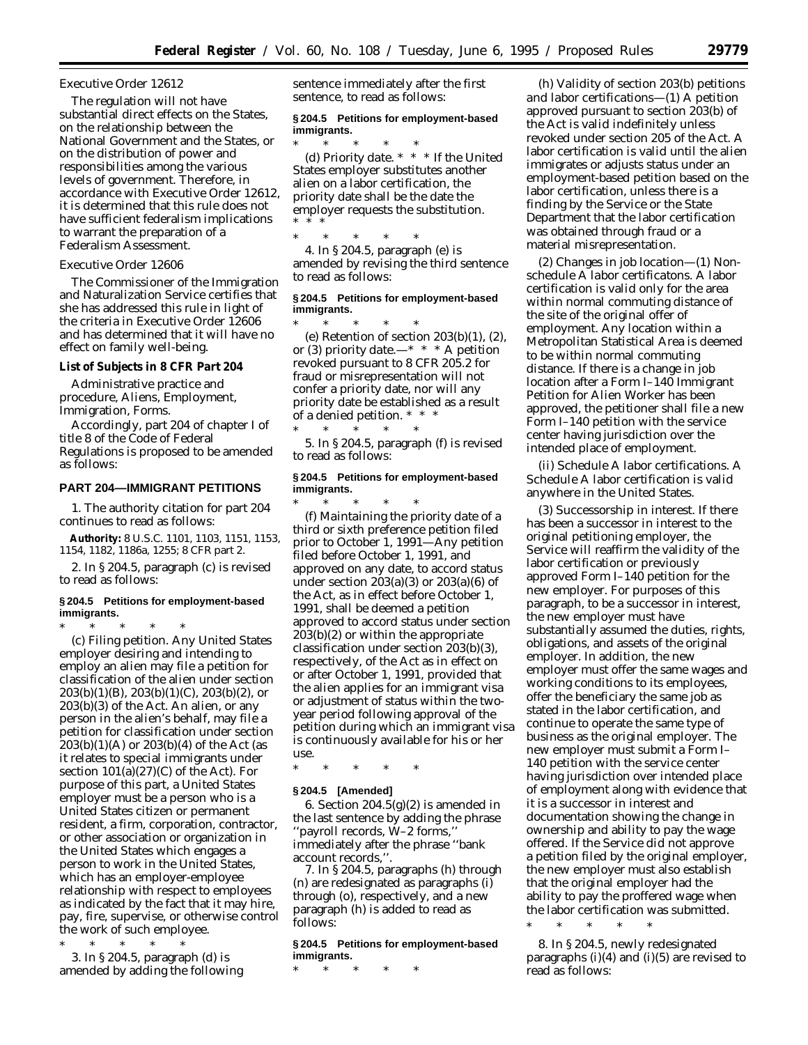### *Executive Order 12612*

The regulation will not have substantial direct effects on the States, on the relationship between the National Government and the States, or on the distribution of power and responsibilities among the various levels of government. Therefore, in accordance with Executive Order 12612, it is determined that this rule does not have sufficient federalism implications to warrant the preparation of a Federalism Assessment.

### *Executive Order 12606*

The Commissioner of the Immigration and Naturalization Service certifies that she has addressed this rule in light of the criteria in Executive Order 12606 and has determined that it will have no effect on family well-being.

## **List of Subjects in 8 CFR Part 204**

Administrative practice and procedure, Aliens, Employment, Immigration, Forms.

Accordingly, part 204 of chapter I of title 8 of the Code of Federal Regulations is proposed to be amended as follows:

### **PART 204—IMMIGRANT PETITIONS**

1. The authority citation for part 204 continues to read as follows:

**Authority:** 8 U.S.C. 1101, 1103, 1151, 1153, 1154, 1182, 1186a, 1255; 8 CFR part 2.

2. In § 204.5, paragraph (c) is revised to read as follows:

### **§ 204.5 Petitions for employment-based immigrants.**

\* \* \* \* \* (c) *Filing petition*. Any United States employer desiring and intending to employ an alien may file a petition for classification of the alien under section  $203(b)(1)(B)$ ,  $203(b)(1)(C)$ ,  $203(b)(2)$ , or 203(b)(3) of the Act. An alien, or any person in the alien's behalf, may file a petition for classification under section  $203(b)(1)(A)$  or  $203(b)(4)$  of the Act (as it relates to special immigrants under section  $101(a)(27)(C)$  of the Act). For purpose of this part, a United States employer must be a person who is a United States citizen or permanent resident, a firm, corporation, contractor, or other association or organization in the United States which engages a person to work in the United States, which has an employer-employee relationship with respect to employees as indicated by the fact that it may hire, pay, fire, supervise, or otherwise control the work of such employee.

\* \* \* \* \* 3. In § 204.5, paragraph (d) is amended by adding the following sentence immediately after the first sentence, to read as follows:

## **§ 204.5 Petitions for employment-based immigrants.**

\* \* \* \* \* (d) *Priority date.* \* \* \* If the United States employer substitutes another alien on a labor certification, the priority date shall be the date the employer requests the substitution. \* \* \*

\* \* \* \* \* 4. In § 204.5, paragraph (e) is amended by revising the third sentence to read as follows:

# **§ 204.5 Petitions for employment-based immigrants.**

\* \* \* \* \* (e) *Retention of section 203(b)(1), (2), or (3) priority date.*—\* \* \* A petition revoked pursuant to 8 CFR 205.2 for fraud or misrepresentation will not confer a priority date, nor will any priority date be established as a result of a denied petition. \* \* \*

\* \* \* \* \* 5. In § 204.5, paragraph (f) is revised to read as follows:

## **§ 204.5 Petitions for employment-based immigrants.**

\* \* \* \* \* (f) *Maintaining the priority date of a third or sixth preference petition filed prior to October 1, 1991*—Any petition filed before October 1, 1991, and approved on any date, to accord status under section 203(a)(3) or 203(a)(6) of the Act, as in effect before October 1, 1991, shall be deemed a petition approved to accord status under section 203(b)(2) or within the appropriate classification under section 203(b)(3), respectively, of the Act as in effect on or after October 1, 1991, provided that the alien applies for an immigrant visa or adjustment of status within the twoyear period following approval of the petition during which an immigrant visa is continuously available for his or her use.

\* \* \* \* \*

#### **§ 204.5 [Amended]**

6. Section  $204.5(g)(2)$  is amended in the last sentence by adding the phrase ''payroll records, W–2 forms,'' immediately after the phrase ''bank account records,''.

7. In § 204.5, paragraphs (h) through (n) are redesignated as paragraphs (i) through (o), respectively, and a new paragraph (h) is added to read as follows:

## **§ 204.5 Petitions for employment-based immigrants.**

\* \* \* \* \*

(h) *Validity of section 203(b) petitions and labor certifications—*(1) A petition approved pursuant to section 203(b) of the Act is valid indefinitely unless revoked under section 205 of the Act. A labor certification is valid until the alien immigrates or adjusts status under an employment-based petition based on the labor certification, unless there is a finding by the Service or the State Department that the labor certification was obtained through fraud or a material misrepresentation.

(2) *Changes in job location*—(1) *Nonschedule A labor certificatons*. A labor certification is valid only for the area within normal commuting distance of the site of the original offer of employment. Any location within a Metropolitan Statistical Area is deemed to be within normal commuting distance. If there is a change in job location after a Form I–140 Immigrant Petition for Alien Worker has been approved, the petitioner shall file a new Form I–140 petition with the service center having jurisdiction over the intended place of employment.

(ii) *Schedule A labor certifications.* A Schedule A labor certification is valid anywhere in the United States.

(3) *Successorship in interest.* If there has been a successor in interest to the original petitioning employer, the Service will reaffirm the validity of the labor certification or previously approved Form I–140 petition for the new employer. For purposes of this paragraph, to be a successor in interest, the new employer must have substantially assumed the duties, rights, obligations, and assets of the original employer. In addition, the new employer must offer the same wages and working conditions to its employees, offer the beneficiary the same job as stated in the labor certification, and continue to operate the same type of business as the original employer. The new employer must submit a Form I– 140 petition with the service center having jurisdiction over intended place of employment along with evidence that it is a successor in interest and documentation showing the change in ownership and ability to pay the wage offered. If the Service did not approve a petition filed by the original employer, the new employer must also establish that the original employer had the ability to pay the proffered wage when the labor certification was submitted.

8. In § 204.5, newly redesignated paragraphs  $(i)(4)$  and  $(i)(5)$  are revised to read as follows:

\* \* \* \* \*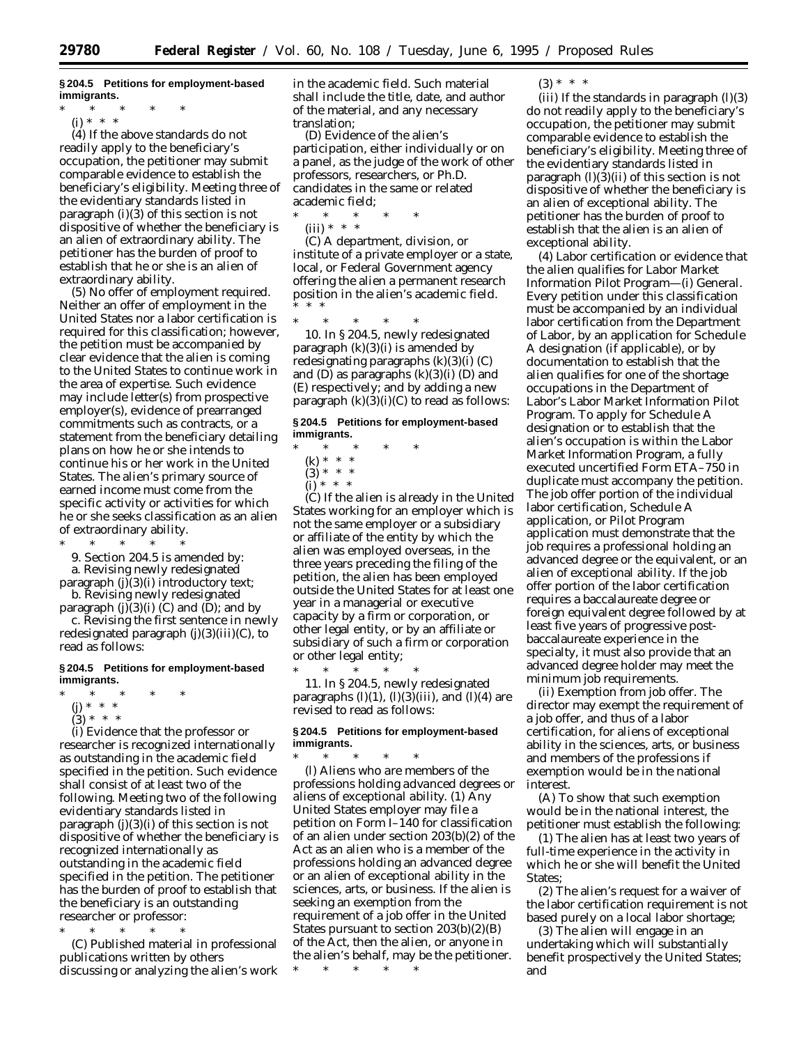# **§ 204.5 Petitions for employment-based immigrants.**

\* \* \* \* \*

(i) \* \* \*

(4) If the above standards do not readily apply to the beneficiary's occupation, the petitioner may submit comparable evidence to establish the beneficiary's eligibility. Meeting three of the evidentiary standards listed in paragraph (i)(3) of this section is not dispositive of whether the beneficiary is an alien of extraordinary ability. The petitioner has the burden of proof to establish that he or she is an alien of extraordinary ability.

(5) *No offer of employment required.* Neither an offer of employment in the United States nor a labor certification is required for this classification; however, the petition must be accompanied by clear evidence that the alien is coming to the United States to continue work in the area of expertise. Such evidence may include letter(s) from prospective employer(s), evidence of prearranged commitments such as contracts, or a statement from the beneficiary detailing plans on how he or she intends to continue his or her work in the United States. The alien's primary source of earned income must come from the specific activity or activities for which he or she seeks classification as an alien of extraordinary ability.

\* \* \* \* \* 9. Section 204.5 is amended by:

a. Revising newly redesignated paragraph (j)(3)(i) introductory text;

b. Revising newly redesignated paragraph  $(j)(3)(i)$  (C) and  $(D)$ ; and by

c. Revising the first sentence in newly redesignated paragraph (j)(3)(iii)(C), to read as follows:

## **§ 204.5 Petitions for employment-based immigrants.**

- \* \* \* \* \*
	- (j) \* \* \*

(3) \* \* \*

(i) Evidence that the professor or researcher is recognized internationally as outstanding in the academic field specified in the petition. Such evidence shall consist of at least two of the following. Meeting two of the following evidentiary standards listed in paragraph (j)(3)(i) of this section is not dispositive of whether the beneficiary is recognized internationally as outstanding in the academic field specified in the petition. The petitioner has the burden of proof to establish that the beneficiary is an outstanding researcher or professor:

\* \* \* \* \*

(C) Published material in professional publications written by others discussing or analyzing the alien's work

in the academic field. Such material shall include the title, date, and author of the material, and any necessary translation;

(D) Evidence of the alien's participation, either individually or on a panel, as the judge of the work of other professors, researchers, or Ph.D. candidates in the same or related academic field;

\* \* \* \* \*

 $(iii) * * * *$ 

(C) A department, division, or institute of a private employer or a state, local, or Federal Government agency offering the alien a permanent research position in the alien's academic field. \* \* \*

\* \* \* \* \* 10. In § 204.5, newly redesignated paragraph  $(k)(3)(i)$  is amended by redesignating paragraphs  $(k)(3)(i)$   $(C)$ and (D) as paragraphs  $(k)(3)(i)$  (D) and (E) respectively; and by adding a new paragraph  $(k)(3)(i)(C)$  to read as follows:

### **§ 204.5 Petitions for employment-based immigrants.**

- \* \* \* \* \*
	- (k) \* \* \*
	- (3) \* \* \*
	- (i) \* \* \*

(C) If the alien is already in the United States working for an employer which is not the same employer or a subsidiary or affiliate of the entity by which the alien was employed overseas, in the three years preceding the filing of the petition, the alien has been employed outside the United States for at least one year in a managerial or executive capacity by a firm or corporation, or other legal entity, or by an affiliate or subsidiary of such a firm or corporation or other legal entity;

\* \* \* \* \* 11. In § 204.5, newly redesignated paragraphs  $(l)(1)$ ,  $(l)(3)(iii)$ , and  $(l)(4)$  are revised to read as follows:

# **§ 204.5 Petitions for employment-based immigrants.**

 $*$  \* (l) *Aliens who are members of the professions holding advanced degrees or aliens of exceptional ability.* (1) Any United States employer may file a petition on Form I–140 for classification of an alien under section 203(b)(2) of the Act as an alien who is a member of the professions holding an advanced degree or an alien of exceptional ability in the sciences, arts, or business. If the alien is seeking an exemption from the requirement of a job offer in the United States pursuant to section 203(b)(2)(B) of the Act, then the alien, or anyone in the alien's behalf, may be the petitioner. \* \* \* \* \*

 $(3) * * * *$ 

(iii) If the standards in paragraph  $(l)(3)$ do not readily apply to the beneficiary's occupation, the petitioner may submit comparable evidence to establish the beneficiary's eligibility. Meeting three of the evidentiary standards listed in paragraph (l)(3)(ii) of this section is not dispositive of whether the beneficiary is an alien of exceptional ability. The petitioner has the burden of proof to establish that the alien is an alien of exceptional ability.

(4) *Labor certification or evidence that the alien qualifies for Labor Market Information Pilot Program*—(i) *General*. Every petition under this classification must be accompanied by an individual labor certification from the Department of Labor, by an application for Schedule A designation (if applicable), or by documentation to establish that the alien qualifies for one of the shortage occupations in the Department of Labor's Labor Market Information Pilot Program. To apply for Schedule A designation or to establish that the alien's occupation is within the Labor Market Information Program, a fully executed uncertified Form ETA–750 in duplicate must accompany the petition. The job offer portion of the individual labor certification, Schedule A application, or Pilot Program application must demonstrate that the job requires a professional holding an advanced degree or the equivalent, or an alien of exceptional ability. If the job offer portion of the labor certification requires a baccalaureate degree or foreign equivalent degree followed by at least five years of progressive postbaccalaureate experience in the specialty, it must also provide that an advanced degree holder may meet the minimum job requirements.

(ii) *Exemption from job offer.* The director may exempt the requirement of a job offer, and thus of a labor certification, for aliens of exceptional ability in the sciences, arts, or business and members of the professions if exemption would be in the national interest.

(A) To show that such exemption would be in the national interest, the petitioner must establish the following:

*(1)* The alien has at least two years of full-time experience in the activity in which he or she will benefit the United States;

*(2)* The alien's request for a waiver of the labor certification requirement is not based purely on a local labor shortage;

*(3)* The alien will engage in an undertaking which will substantially benefit prospectively the United States; and